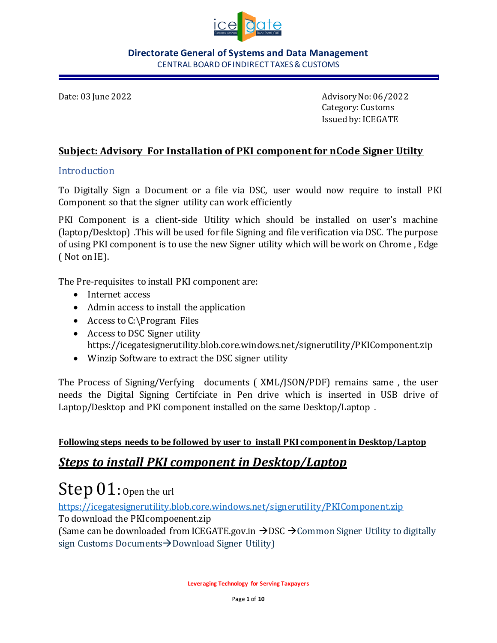

Date: 03 June 2022 Advisory No: 06/2022 Category: Customs Issued by: ICEGATE

### **Subject: Advisory For Installation of PKI component for nCode Signer Utilty**

### Introduction

To Digitally Sign a Document or a file via DSC, user would now require to install PKI Component so that the signer utility can work efficiently

PKI Component is a client-side Utility which should be installed on user's machine (laptop/Desktop) .This will be used for file Signing and file verification via DSC. The purpose of using PKI component is to use the new Signer utility which will be work on Chrome , Edge ( Not on IE).

The Pre-requisites to install PKI component are:

- Internet access
- Admin access to install the application
- Access to C:\Program Files
- Access to DSC Signer utility <https://icegatesignerutility.blob.core.windows.net/signerutility/PKIComponent.zip>
- Winzip Software to extract the DSC signer utility

The Process of Signing/Verfying documents ( XML/JSON/PDF) remains same , the user needs the Digital Signing Certifciate in Pen drive which is inserted in USB drive of Laptop/Desktop and PKI component installed on the same Desktop/Laptop .

### **Following steps needs to be followed by user to install PKI component in Desktop/Laptop**

### *Steps to install PKI component in Desktop/Laptop*

# Step 01: Open the url

<https://icegatesignerutility.blob.core.windows.net/signerutility/PKIComponent.zip> To download the PKIcompoenent.zip

(Same can be downloaded from ICEGATE.gov.in  $\rightarrow$  DSC  $\rightarrow$  Common Signer Utility to digitally sign Customs Documents→Download Signer Utility)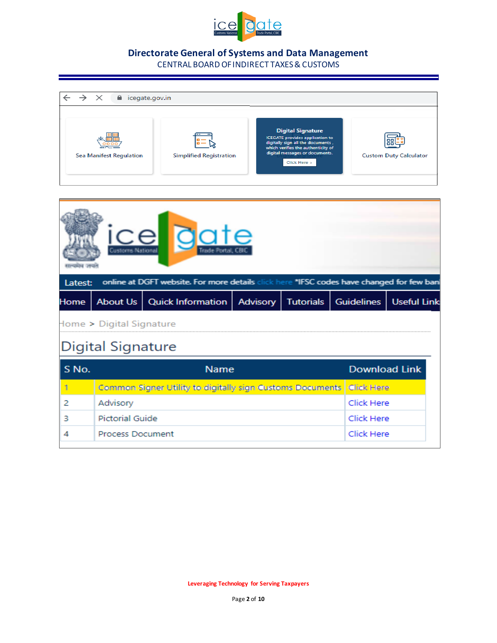

### **Directorate General of Systems and Data Management**

CENTRAL BOARD OF INDIRECT TAXES & CUSTOMS



| <b>ICE COLE</b><br>online at DGFT website. For more details click here *IFSC codes have changed for few ban |                          |                                                                        |          |                  |                   |                    |  |  |
|-------------------------------------------------------------------------------------------------------------|--------------------------|------------------------------------------------------------------------|----------|------------------|-------------------|--------------------|--|--|
| Latest:<br>Home                                                                                             | About Us                 | <b>Quick Information</b>                                               | Advisory | <b>Tutorials</b> | <b>Guidelines</b> | <b>Useful Link</b> |  |  |
|                                                                                                             | Home > Digital Signature |                                                                        |          |                  |                   |                    |  |  |
|                                                                                                             | Digital Signature        |                                                                        |          |                  |                   |                    |  |  |
| <b>Download Link</b><br>S No.<br><b>Name</b>                                                                |                          |                                                                        |          |                  |                   |                    |  |  |
|                                                                                                             |                          | Common Signer Utility to digitally sign Customs Documents   Click Here |          |                  |                   |                    |  |  |
| 2                                                                                                           | Advisory                 |                                                                        |          |                  | <b>Click Here</b> |                    |  |  |
| з                                                                                                           | Pictorial Guide          |                                                                        |          |                  | Click Here        |                    |  |  |
|                                                                                                             | <b>Process Document</b>  |                                                                        |          |                  | Click Here        |                    |  |  |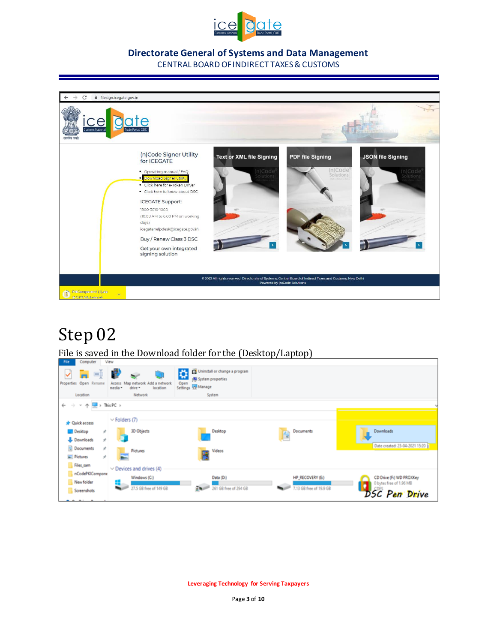



## Step 02

File is saved in the Download folder for the (Desktop/Laptop)

| <b>THE</b><br>computer                                          | A. BEAM.                                                              |                                                                                       |                         |                                |
|-----------------------------------------------------------------|-----------------------------------------------------------------------|---------------------------------------------------------------------------------------|-------------------------|--------------------------------|
| Open Rename<br>Properties                                       | Map network Add a network<br>Access<br>drive *<br>location<br>media * | Uninstall or change a program<br>☆<br>System properties<br>Open<br>Settings TH Manage |                         |                                |
| Location                                                        | Network                                                               | System                                                                                |                         |                                |
| $\rightarrow$ $\sim$ $\land$ $\Box$ > This PC ><br>$\leftarrow$ |                                                                       |                                                                                       |                         |                                |
| <b>*</b> Quick access                                           | $\vee$ Folders (7)                                                    |                                                                                       |                         |                                |
| <b>Desktop</b><br>÷                                             | 3D Objects                                                            | Desktop                                                                               | Documents               | Downloads                      |
| Downloads<br>÷                                                  |                                                                       |                                                                                       | Ê                       |                                |
| 闓<br>Documents<br>×                                             |                                                                       |                                                                                       |                         | Date created: 23-04-2021 15:20 |
| Pictures<br>÷                                                   | <b>Pictures</b>                                                       | Videos                                                                                |                         |                                |
| Files_sam                                                       |                                                                       |                                                                                       |                         |                                |
| nCodePKICompone                                                 | $\vee$ Devices and drives (4)                                         |                                                                                       |                         |                                |
|                                                                 | Windows (C:)                                                          | Data (D.)                                                                             | <b>HP_RECOVERY (E:)</b> | CD Drive (F:) WD PROXXey       |
| New folder                                                      | 27.5 GB free of 149 GB                                                | <b>RANGE</b><br>261 GB free of 294 GB                                                 | 7.13 GB free of 19.9 GB | 0 bytes free of 1.96 MB        |
| Screenshots                                                     |                                                                       |                                                                                       |                         | <b>DSC</b> Pen Drive           |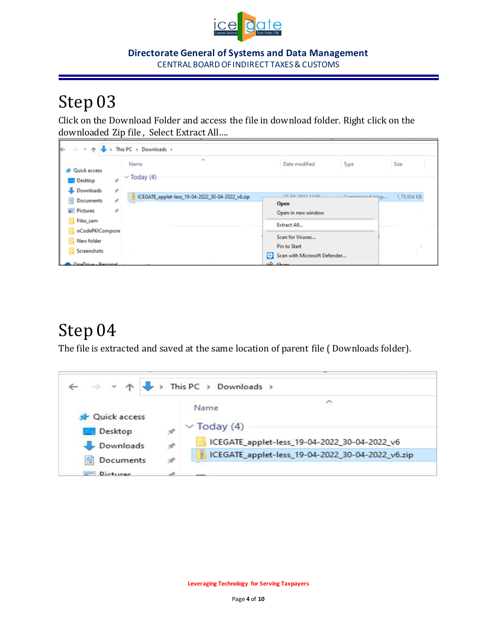

# Step 03

Click on the Download Folder and access the file in download folder. Right click on the downloaded Zip file , Select Extract All….

| $\leftarrow$<br>$\rightarrow$<br>v ^ J            | This PC > Downloads >                            |                                                   |             |
|---------------------------------------------------|--------------------------------------------------|---------------------------------------------------|-------------|
| <b>Duick access</b>                               | $\mathcal{S}_{\mathcal{N}}$<br>Name              | Type<br>Date modified                             | Size        |
| <b>Desktop</b><br>À<br>Downloads<br>$\mathcal{R}$ | $\vee$ Today (4)                                 |                                                   |             |
| <b>Documents</b><br>Å                             | ICEGATE_applet-less_19-04-2022_30-04-2022_v6.zip | 37.04.3033.13.60<br>Camaccccod/sigp<br>Open       | 1,79,604 KB |
| $\equiv$ Pictures<br>Å<br>Files_sam               |                                                  | Open in new window<br>Extract All                 |             |
| nCodePKICompone<br>New folder                     |                                                  | Scan for Viruses                                  |             |
| Screenshots                                       |                                                  | Pin to Start<br>Scan with Microsoft Defender<br>H |             |
| OneDrive - Perconal                               |                                                  | A Chase                                           |             |

## Step 04

The file is extracted and saved at the same location of parent file ( Downloads folder).

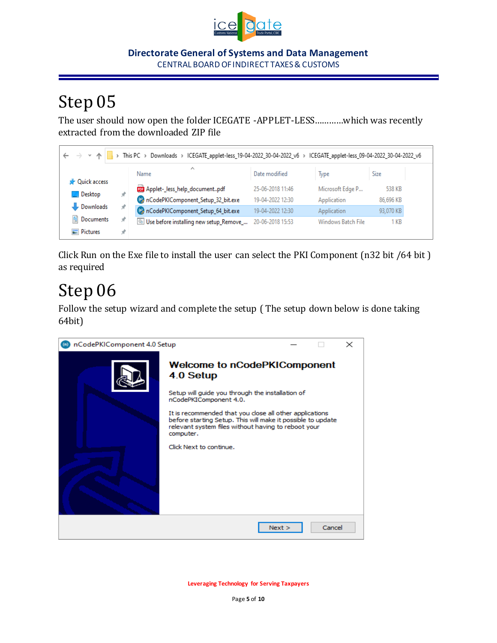

# Step 05

The user should now open the folder ICEGATE -APPLET-LESS…………which was recently extracted from the downloaded ZIP file

| > This PC > Downloads > ICEGATE_applet-less_19-04-2022_30-04-2022_v6 > ICEGATE_applet-less_09-04-2022_30-04-2022_v6<br>$\leftarrow$ $\rightarrow$ $\rightarrow$ $\land$ |    |                                         |                  |                    |           |  |  |
|-------------------------------------------------------------------------------------------------------------------------------------------------------------------------|----|-----------------------------------------|------------------|--------------------|-----------|--|--|
|                                                                                                                                                                         |    | ∧<br>Name                               | Date modified    | Type               | Size      |  |  |
| <b>A</b> Quick access<br><b>Desktop</b>                                                                                                                                 | st | Applet-_less_help_documentpdf           | 25-06-2018 11:46 | Microsoft Edge P   | 538 KB    |  |  |
|                                                                                                                                                                         |    | nCodePKIComponent_Setup_32_bit.exe      | 19-04-2022 12:30 | Application        | 86,696 KB |  |  |
| Downloads                                                                                                                                                               | Å  | ConCodePKIComponent_Setup_64_bit.exe    | 19-04-2022 12:30 | Application        | 93,070 KB |  |  |
| 葟<br>Documents                                                                                                                                                          | À  | Use before installing new setup_Remove_ | 20-06-2018 15:53 | Windows Batch File | 1 KB      |  |  |
| Pictures                                                                                                                                                                |    |                                         |                  |                    |           |  |  |

Click Run on the Exe file to install the user can select the PKI Component (n32 bit /64 bit ) as required

# Step 06

Follow the setup wizard and complete the setup ( The setup down below is done taking 64bit)

| nCodePKIComponent 4.0 Setup |                                                                                                                                                                                                                                                                                                                                                         |      |        | $\times$ |
|-----------------------------|---------------------------------------------------------------------------------------------------------------------------------------------------------------------------------------------------------------------------------------------------------------------------------------------------------------------------------------------------------|------|--------|----------|
|                             | <b>Welcome to nCodePKIComponent</b><br>4.0 Setup<br>Setup will guide you through the installation of<br>nCodePKIComponent 4.0.<br>It is recommended that you close all other applications<br>before starting Setup. This will make it possible to update<br>relevant system files without having to reboot your<br>computer.<br>Click Next to continue. |      |        |          |
|                             |                                                                                                                                                                                                                                                                                                                                                         | Next | Cancel |          |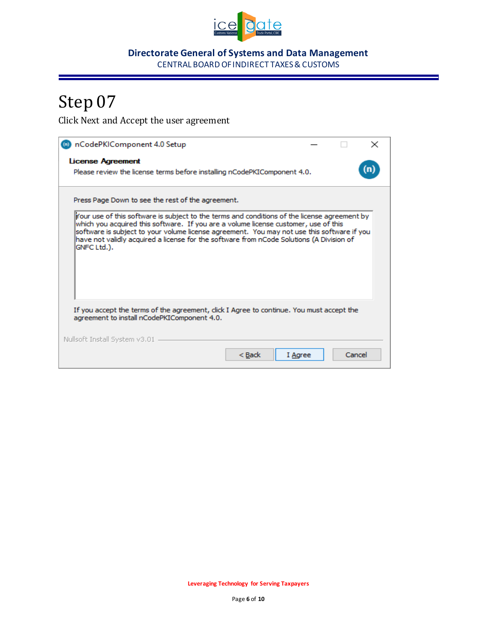

# Step 07

Click Next and Accept the user agreement

| (a) nCodePKIComponent 4.0 Setup<br>×                                                                                                                                                                                                                                                                                                                                                         |  |
|----------------------------------------------------------------------------------------------------------------------------------------------------------------------------------------------------------------------------------------------------------------------------------------------------------------------------------------------------------------------------------------------|--|
| <b>License Agreement</b>                                                                                                                                                                                                                                                                                                                                                                     |  |
| Please review the license terms before installing nCodePKIComponent 4.0.                                                                                                                                                                                                                                                                                                                     |  |
| Press Page Down to see the rest of the agreement.                                                                                                                                                                                                                                                                                                                                            |  |
| Your use of this software is subject to the terms and conditions of the license agreement by<br>which you acquired this software. If you are a volume license customer, use of this<br>software is subject to your volume license agreement. You may not use this software if you<br>have not validly acquired a license for the software from nCode Solutions (A Division of<br>GNFC Ltd.). |  |
| If you accept the terms of the agreement, click I Agree to continue. You must accept the<br>agreement to install nCodePKIComponent 4.0.                                                                                                                                                                                                                                                      |  |
| Nullsoft Install System v3.01                                                                                                                                                                                                                                                                                                                                                                |  |
| Cancel<br>$<$ Back<br>I Agree                                                                                                                                                                                                                                                                                                                                                                |  |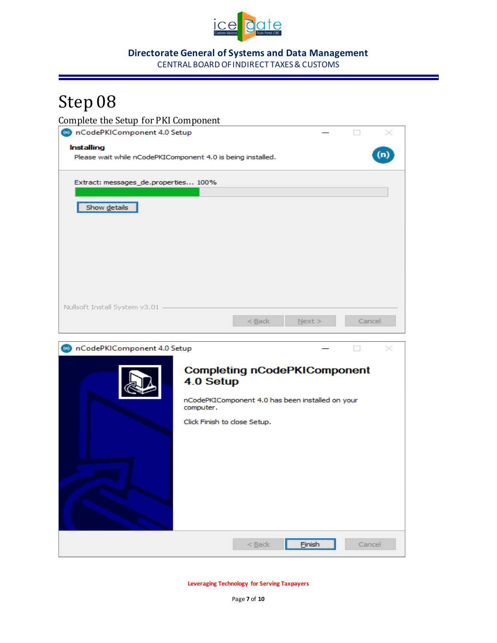

# Step 08

Complete the Setup for PKI Component nCodePKIComponent 4.0 Setup  $\Box$  $^\sim$ Installing  $(n)$ Please wait while nCodePKIComponent 4.0 is being installed. Extract: messages de.properties... 100% Show details Nullsoft Install System v3.01 - $<sub>Back</sub>$ </sub>  $N$ ext > Cancel nCodePKIComponent 4.0 Setup  $\Box$  $^\sim$ **Completing nCodePKIComponent** 4.0 Setup nCodePKIComponent 4.0 has been installed on your computer. Click Finish to close Setup. Einish  $<sub>Back</sub>$ </sub> Cancel

**Leveraging Technology for Serving Taxpayers**

Page **7** of **10**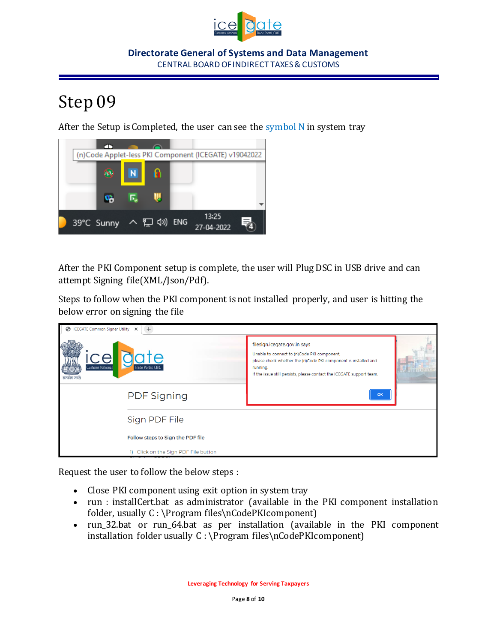

# Step 09

After the Setup is Completed, the user can see the symbol  $N$  in system tray



After the PKI Component setup is complete, the user will Plug DSC in USB drive and can attempt Signing file(XML/Json/Pdf).

Steps to follow when the PKI component is not installed properly, and user is hitting the below error on signing the file

| ICEGATE Common Signer Utility X<br>$+$<br>⊝  |                                      |                                                                                                                                                                                                                                     |  |  |  |  |  |
|----------------------------------------------|--------------------------------------|-------------------------------------------------------------------------------------------------------------------------------------------------------------------------------------------------------------------------------------|--|--|--|--|--|
| cel<br><b>Customs National</b><br>सत्यमय जयत | iate<br>Trade Portal, CBIC           | filesign.icegate.gov.in says<br>Unable to connect to (n)Code PKI component,<br>please check whether the (n)Code PKI component is installed and<br>running.<br>If the issue still persists, please contact the ICEGATE support team. |  |  |  |  |  |
|                                              | <b>PDF Signing</b>                   | $\alpha$                                                                                                                                                                                                                            |  |  |  |  |  |
|                                              | Sign PDF File                        |                                                                                                                                                                                                                                     |  |  |  |  |  |
|                                              | Follow steps to Sign the PDF file    |                                                                                                                                                                                                                                     |  |  |  |  |  |
|                                              | 1) Click on the Sign PDF File button |                                                                                                                                                                                                                                     |  |  |  |  |  |

Request the user to follow the below steps :

- Close PKI component using exit option in system tray
- run : installCert.bat as administrator (available in the PKI component installation folder, usually C : \Program files\nCodePKIcomponent)
- run 32.bat or run 64.bat as per installation (available in the PKI component installation folder usually C : \Program files\nCodePKIcomponent)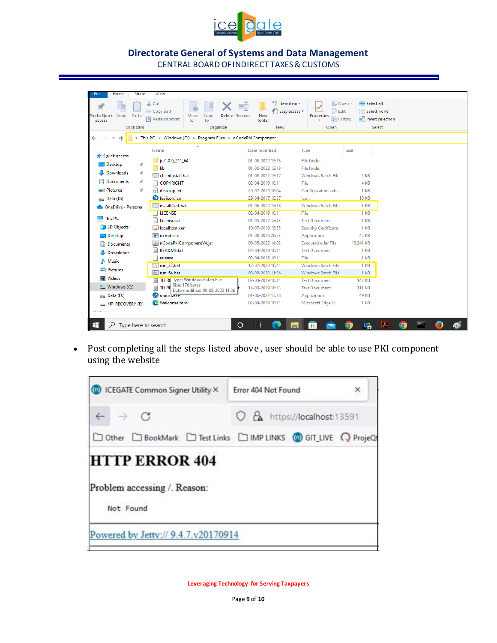

| <b>Share</b><br><b>File</b><br>Home     | View                                                                                                             |                                                          |                                                             |                                                |  |  |  |  |
|-----------------------------------------|------------------------------------------------------------------------------------------------------------------|----------------------------------------------------------|-------------------------------------------------------------|------------------------------------------------|--|--|--|--|
| Pin to Quick<br>Paste<br>Copy<br>access | & Cut<br>n i<br>w <sub>m</sub> Copy path<br>Delete Rename<br>Move<br>.0D1<br><b>F</b> Paste shortcut<br>to<br>to | └□ New item ▼<br>F Easy access *<br><b>New</b><br>folder | 目 Open -<br><b>Z</b> Edit<br>Properties<br><b>B</b> History | Select all<br>몸 Select none<br><b>Relation</b> |  |  |  |  |
| Clipboard                               | Organize                                                                                                         | New                                                      | Open                                                        | Select                                         |  |  |  |  |
|                                         | > This PC > Windows (C:) > Program Files > nCodePKIComponent                                                     |                                                          |                                                             |                                                |  |  |  |  |
|                                         | $\widehat{\phantom{a}}$<br>Name                                                                                  | Date modified                                            | Size<br>Type                                                |                                                |  |  |  |  |
| <b>A</b> Quick access                   |                                                                                                                  |                                                          |                                                             |                                                |  |  |  |  |
| Desktop<br>×.                           | jre1.8.0_211_64                                                                                                  | 01-06-2022 13:18<br>01-06-2022 13:18                     | <b>File folder</b>                                          |                                                |  |  |  |  |
| Downloads<br>À                          | <b>Allib</b><br>cleaninstall.bat                                                                                 | 01-06-2022 13:17                                         | File folder<br>Windows Batch File                           | $2$ KB                                         |  |  |  |  |
| 兽<br>Documents<br>À                     | <b>COPYRIGHT</b>                                                                                                 | 02-04-2019 10:11                                         | File                                                        | 4 KB                                           |  |  |  |  |
| Pictures<br>À.                          | łыT<br>desktop.ini                                                                                               | 20-07-2019 10:04                                         | Configuration sett                                          | 1 KB                                           |  |  |  |  |
| an Data (D:)                            | <sup>6</sup> favicon.ico                                                                                         | 29-04-2017 15:37                                         | Icon                                                        | <b>10 KB</b>                                   |  |  |  |  |
|                                         | installCert.bat                                                                                                  | 01-06-2022 13:18                                         | <b>Windows Batch File</b>                                   | 1 KB                                           |  |  |  |  |
| OneDrive - Personal                     | <b>TLICENSE</b>                                                                                                  | 02-04-2019 10:11                                         | File                                                        | 1 <sub>KB</sub>                                |  |  |  |  |
| $\blacksquare$ This PC                  | Ħ<br>License.txt                                                                                                 | 01-05-2017 12:43                                         | <b>Text Document</b>                                        | $1$ KB                                         |  |  |  |  |
| 3D Objects                              | localhost.cer                                                                                                    | 10-07-2018 15:55                                         | <b>Security Certificate</b>                                 | 1 <sub>KB</sub>                                |  |  |  |  |
| Desktop                                 | $\mathbb{H}$ ncmd.exe                                                                                            | 01-08-2019 20:53                                         | Application                                                 | 45 KB                                          |  |  |  |  |
| <b>Documents</b>                        | △ nCodePkiComponentV4.jar                                                                                        | 06-05-2022 14:02                                         | <b>Executable Jar File</b>                                  | 18,241 KB                                      |  |  |  |  |
| Downloads                               | <b>README.txt</b>                                                                                                | 02-04-2019 10:11                                         | <b>Text Document</b>                                        | 1 <sub>KB</sub>                                |  |  |  |  |
|                                         | release                                                                                                          | 02-04-2019 10:11                                         | File                                                        | 1 KB                                           |  |  |  |  |
| Music                                   | Tun 32.bat                                                                                                       | 17-07-2020 10:44                                         | <b>Windows Batch File</b>                                   | 1 <sub>KB</sub>                                |  |  |  |  |
| Pictures                                | tun 64.bat                                                                                                       | 08-08-2020 11:26                                         | <b>Windows Batch File</b>                                   | 1 <sub>KB</sub>                                |  |  |  |  |
| Videos                                  | <b>THIRD</b> Type: Windows Batch File                                                                            | 02-04-2019 10:11                                         | <b>Text Document</b>                                        | 147 KB                                         |  |  |  |  |
| <sup>12</sup> Windows (C:)              | Size: 176 bytes<br><b>THIRD</b><br>Date modified: 08-08-2020 11:26                                               | 14-03-2019 18:13                                         | <b>Text Document</b>                                        | 111 KB                                         |  |  |  |  |
| pum Data (D:)                           | <b>C</b> uninst.exe                                                                                              | 01-06-2022 13:18                                         | Application                                                 | 49 KB                                          |  |  |  |  |
| <b>HP RECOVERY (E:)</b>                 | <b>C</b> Welcome.html                                                                                            | 02-04-2019 10:11                                         | Microsoft Edge H                                            | 1 KB                                           |  |  |  |  |
| $20.34 - 44.$                           |                                                                                                                  |                                                          |                                                             |                                                |  |  |  |  |
| H<br>Ω<br>Type here to search           | O                                                                                                                | Ξi                                                       | æ.                                                          | $\lambda$<br>œ,<br>$\bullet$                   |  |  |  |  |

• Post completing all the steps listed above , user should be able to use PKI component using the website